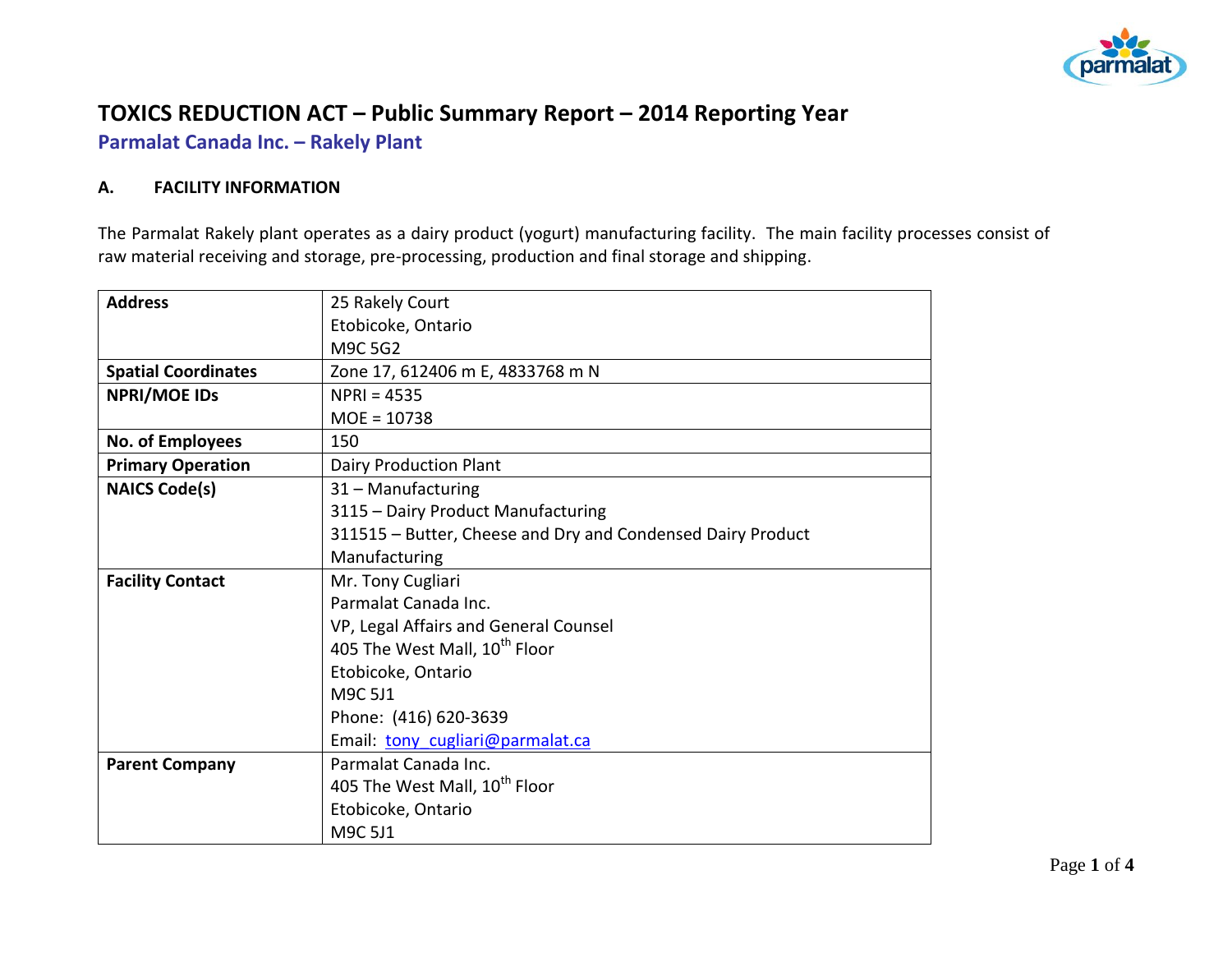

# **TOXICS REDUCTION ACT – Public Summary Report – 2014 Reporting Year**

**Parmalat Canada Inc. – Rakely Plant**

### **A. FACILITY INFORMATION**

The Parmalat Rakely plant operates as a dairy product (yogurt) manufacturing facility. The main facility processes consist of raw material receiving and storage, pre-processing, production and final storage and shipping.

| <b>Address</b>             | 25 Rakely Court                                             |  |  |  |  |
|----------------------------|-------------------------------------------------------------|--|--|--|--|
|                            | Etobicoke, Ontario                                          |  |  |  |  |
|                            | M9C 5G2                                                     |  |  |  |  |
| <b>Spatial Coordinates</b> | Zone 17, 612406 m E, 4833768 m N                            |  |  |  |  |
| <b>NPRI/MOE IDS</b>        | $NPRI = 4535$                                               |  |  |  |  |
|                            | $MOE = 10738$                                               |  |  |  |  |
| No. of Employees           | 150                                                         |  |  |  |  |
| <b>Primary Operation</b>   | <b>Dairy Production Plant</b>                               |  |  |  |  |
| <b>NAICS Code(s)</b>       | 31 - Manufacturing                                          |  |  |  |  |
|                            | 3115 - Dairy Product Manufacturing                          |  |  |  |  |
|                            | 311515 - Butter, Cheese and Dry and Condensed Dairy Product |  |  |  |  |
|                            | Manufacturing                                               |  |  |  |  |
| <b>Facility Contact</b>    | Mr. Tony Cugliari                                           |  |  |  |  |
|                            | Parmalat Canada Inc.                                        |  |  |  |  |
|                            | VP, Legal Affairs and General Counsel                       |  |  |  |  |
|                            | 405 The West Mall, 10 <sup>th</sup> Floor                   |  |  |  |  |
|                            | Etobicoke, Ontario                                          |  |  |  |  |
|                            | M9C 5J1                                                     |  |  |  |  |
|                            | Phone: (416) 620-3639                                       |  |  |  |  |
|                            | Email: tony cugliari@parmalat.ca                            |  |  |  |  |
| <b>Parent Company</b>      | Parmalat Canada Inc.                                        |  |  |  |  |
|                            | 405 The West Mall, 10 <sup>th</sup> Floor                   |  |  |  |  |
|                            | Etobicoke, Ontario                                          |  |  |  |  |
|                            | M9C 5J1                                                     |  |  |  |  |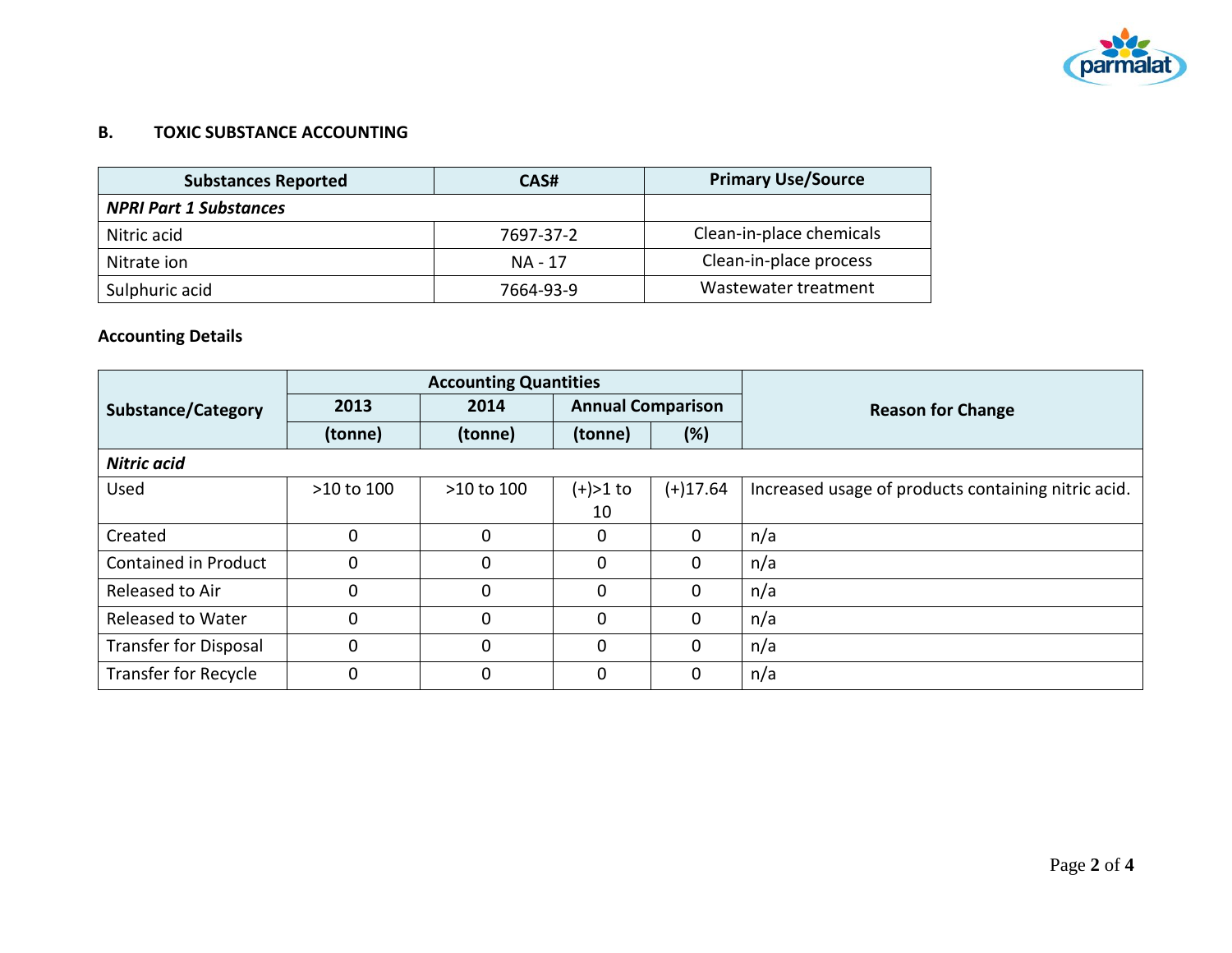

### **B. TOXIC SUBSTANCE ACCOUNTING**

| <b>Substances Reported</b>    | CAS#      | <b>Primary Use/Source</b> |
|-------------------------------|-----------|---------------------------|
| <b>NPRI Part 1 Substances</b> |           |                           |
| Nitric acid                   | 7697-37-2 | Clean-in-place chemicals  |
| Nitrate ion                   | NA - 17   | Clean-in-place process    |
| Sulphuric acid                | 7664-93-9 | Wastewater treatment      |

## **Accounting Details**

|                              | <b>Accounting Quantities</b> |             |                          |              |                                                     |
|------------------------------|------------------------------|-------------|--------------------------|--------------|-----------------------------------------------------|
| <b>Substance/Category</b>    | 2013                         | 2014        | <b>Annual Comparison</b> |              | <b>Reason for Change</b>                            |
|                              | (tonne)                      | (tonne)     | (tonne)                  | (%)          |                                                     |
| <b>Nitric acid</b>           |                              |             |                          |              |                                                     |
| Used                         | >10 to 100                   | >10 to 100  | $(+) > 1$ to             | $(+)17.64$   | Increased usage of products containing nitric acid. |
|                              |                              |             | 10                       |              |                                                     |
| Created                      | $\mathbf 0$                  | 0           | 0                        | $\mathbf 0$  | n/a                                                 |
| <b>Contained in Product</b>  | $\Omega$                     | $\Omega$    | $\Omega$                 | $\mathbf 0$  | n/a                                                 |
| Released to Air              | 0                            | 0           | 0                        | $\mathbf{0}$ | n/a                                                 |
| <b>Released to Water</b>     | 0                            | $\mathbf 0$ | $\Omega$                 | $\mathbf{0}$ | n/a                                                 |
| <b>Transfer for Disposal</b> | $\mathbf 0$                  | $\mathbf 0$ | $\Omega$                 | $\mathbf 0$  | n/a                                                 |
| <b>Transfer for Recycle</b>  | 0                            | 0           | 0                        | $\mathbf{0}$ | n/a                                                 |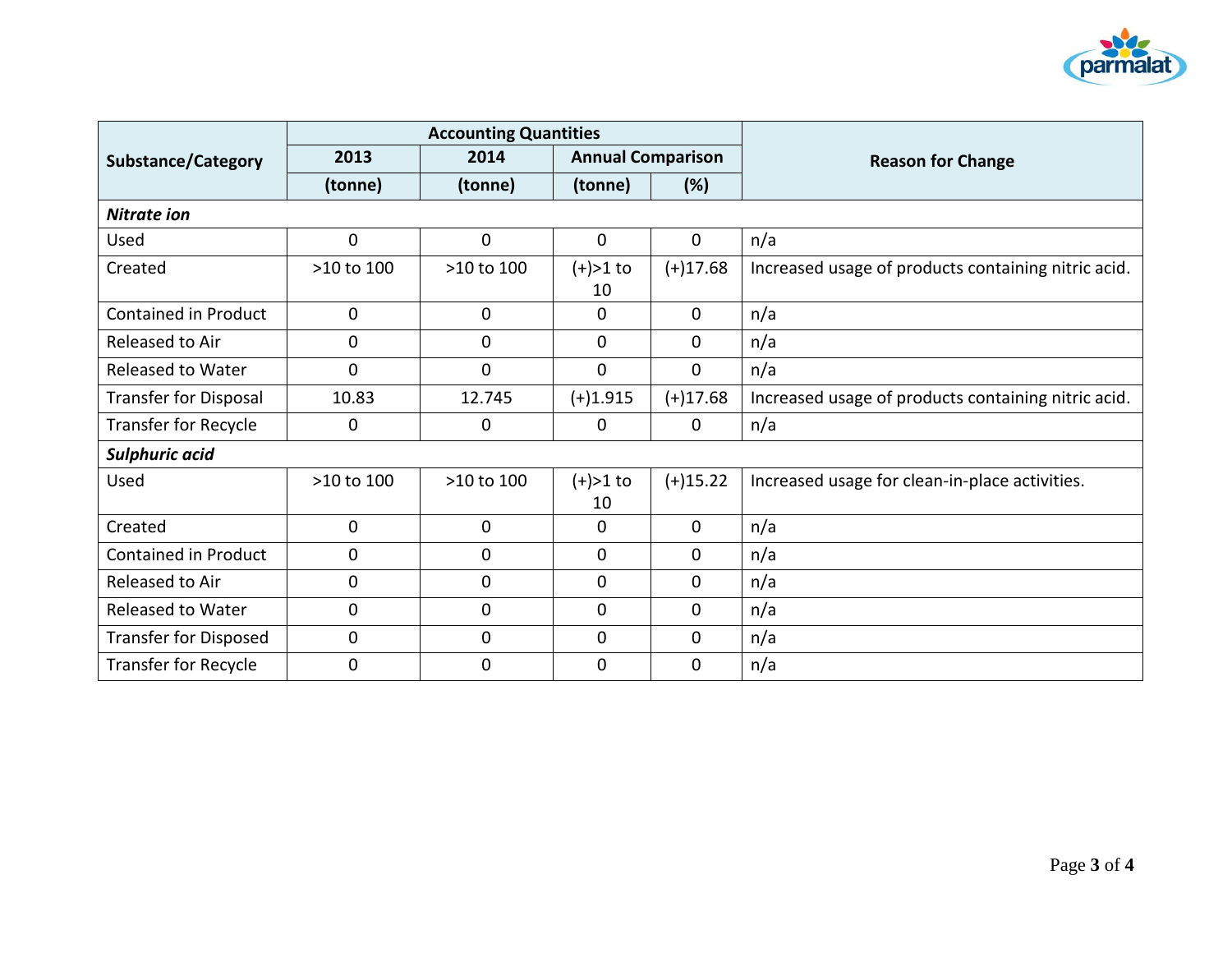

|                              | <b>Accounting Quantities</b> |                |                          |              |                                                     |  |
|------------------------------|------------------------------|----------------|--------------------------|--------------|-----------------------------------------------------|--|
| <b>Substance/Category</b>    | 2013                         | 2014           | <b>Annual Comparison</b> |              | <b>Reason for Change</b>                            |  |
|                              | (tonne)                      | (tonne)        | (tonne)                  | (%)          |                                                     |  |
| <b>Nitrate ion</b>           |                              |                |                          |              |                                                     |  |
| Used                         | $\mathbf 0$                  | $\mathbf{0}$   | $\mathbf{0}$             | $\mathbf{0}$ | n/a                                                 |  |
| Created                      | >10 to 100                   | >10 to 100     | $(+) > 1$ to<br>10       | $(+)17.68$   | Increased usage of products containing nitric acid. |  |
| <b>Contained in Product</b>  | 0                            | $\mathbf 0$    | 0                        | $\mathbf{0}$ | n/a                                                 |  |
| Released to Air              | 0                            | $\mathbf 0$    | 0                        | 0            | n/a                                                 |  |
| Released to Water            | $\mathbf{0}$                 | $\overline{0}$ | $\mathbf{0}$             | $\mathbf{0}$ | n/a                                                 |  |
| <b>Transfer for Disposal</b> | 10.83                        | 12.745         | $(+)1.915$               | $(+)17.68$   | Increased usage of products containing nitric acid. |  |
| <b>Transfer for Recycle</b>  | 0                            | $\mathbf{0}$   | 0                        | $\mathbf 0$  | n/a                                                 |  |
| Sulphuric acid               |                              |                |                          |              |                                                     |  |
| Used                         | >10 to 100                   | >10 to 100     | $(+) > 1$ to<br>10       | $(+)15.22$   | Increased usage for clean-in-place activities.      |  |
| Created                      | $\mathbf 0$                  | $\mathbf 0$    | 0                        | 0            | n/a                                                 |  |
| <b>Contained in Product</b>  | 0                            | $\mathbf 0$    | 0                        | $\mathbf{0}$ | n/a                                                 |  |
| Released to Air              | $\mathbf 0$                  | $\mathbf{0}$   | $\mathbf 0$              | $\mathbf{0}$ | n/a                                                 |  |
| Released to Water            | $\mathbf 0$                  | $\mathbf{0}$   | $\mathbf{0}$             | 0            | n/a                                                 |  |
| <b>Transfer for Disposed</b> | $\mathbf 0$                  | $\mathbf 0$    | $\mathbf{0}$             | $\mathbf{0}$ | n/a                                                 |  |
| <b>Transfer for Recycle</b>  | $\mathbf 0$                  | $\mathbf{0}$   | $\mathbf 0$              | $\mathbf 0$  | n/a                                                 |  |